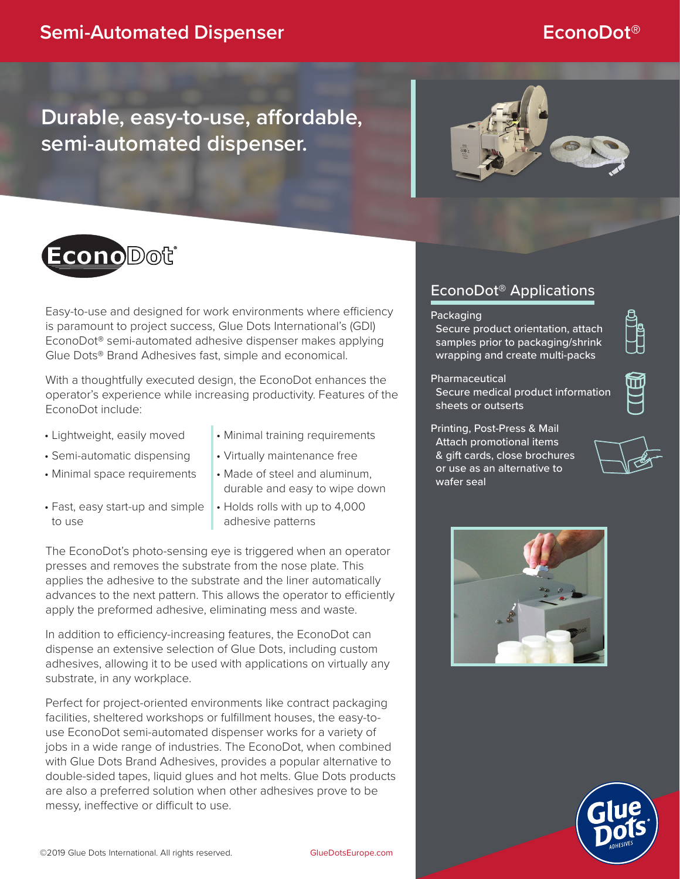# **Durable, easy-to-use, affordable, semi-automated dispenser.**





Easy-to-use and designed for work environments where efficiency is paramount to project success, Glue Dots International's (GDI) EconoDot® semi-automated adhesive dispenser makes applying Glue Dots® Brand Adhesives fast, simple and economical.

With a thoughtfully executed design, the EconoDot enhances the operator's experience while increasing productivity. Features of the EconoDot include:

- 
- Lightweight, easily moved Minimal training requirements
- Semi-automatic dispensing Virtually maintenance free
- Minimal space requirements Made of steel and aluminum,
- Fast, easy start-up and simple to use
- 
- 
- durable and easy to wipe down
- Holds rolls with up to 4,000 adhesive patterns

The EconoDot's photo-sensing eye is triggered when an operator presses and removes the substrate from the nose plate. This applies the adhesive to the substrate and the liner automatically advances to the next pattern. This allows the operator to efficiently apply the preformed adhesive, eliminating mess and waste.

In addition to efficiency-increasing features, the EconoDot can dispense an extensive selection of Glue Dots, including custom adhesives, allowing it to be used with applications on virtually any substrate, in any workplace.

Perfect for project-oriented environments like contract packaging facilities, sheltered workshops or fulfillment houses, the easy-touse EconoDot semi-automated dispenser works for a variety of jobs in a wide range of industries. The EconoDot, when combined with Glue Dots Brand Adhesives, provides a popular alternative to double-sided tapes, liquid glues and hot melts. Glue Dots products are also a preferred solution when other adhesives prove to be messy, ineffective or difficult to use.

# EconoDot® Applications

#### **Packaging**

Secure product orientation, attach samples prior to packaging/shrink wrapping and create multi-packs

#### **Pharmaceutical**

Secure medical product information sheets or outserts



Printing, Post-Press & Mail Attach promotional items & gift cards, close brochures or use as an alternative to wafer seal